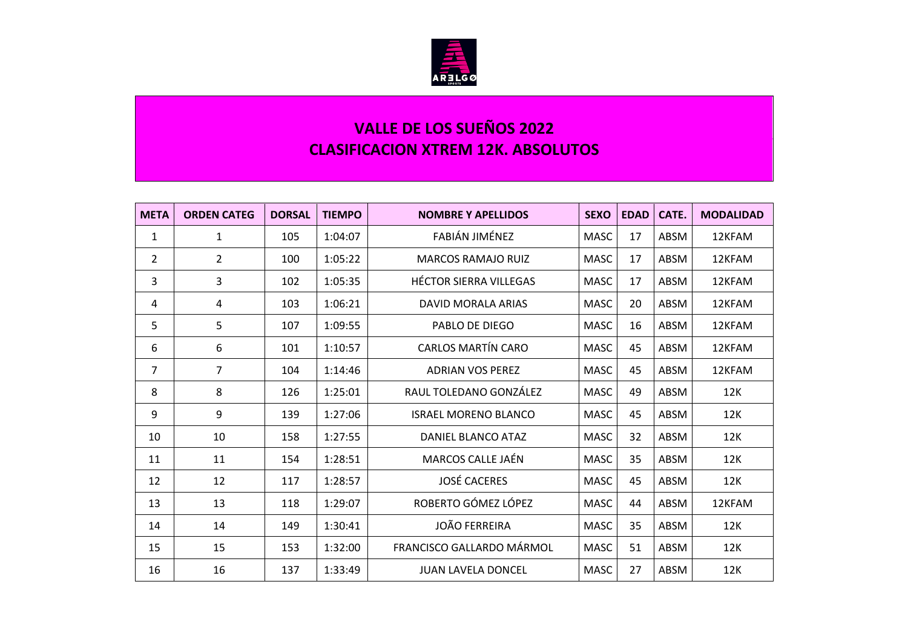

## **VALLE DE LOS SUEÑOS 2022 CLASIFICACION XTREM 12K. ABSOLUTOS**

| <b>META</b>    | <b>ORDEN CATEG</b> | <b>DORSAL</b> | <b>TIEMPO</b> | <b>NOMBRE Y APELLIDOS</b>     | <b>SEXO</b> | <b>EDAD</b> | CATE.       | <b>MODALIDAD</b> |
|----------------|--------------------|---------------|---------------|-------------------------------|-------------|-------------|-------------|------------------|
| $\mathbf{1}$   | 1                  | 105           | 1:04:07       | FABIÁN JIMÉNEZ                | <b>MASC</b> | 17          | ABSM        | 12KFAM           |
| $\overline{2}$ | $\overline{2}$     | 100           | 1:05:22       | <b>MARCOS RAMAJO RUIZ</b>     | <b>MASC</b> | 17          | ABSM        | 12KFAM           |
| 3              | 3                  | 102           | 1:05:35       | <b>HÉCTOR SIERRA VILLEGAS</b> | <b>MASC</b> | 17          | ABSM        | 12KFAM           |
| 4              | 4                  | 103           | 1:06:21       | DAVID MORALA ARIAS            | <b>MASC</b> | 20          | ABSM        | 12KFAM           |
| 5              | 5                  | 107           | 1:09:55       | PABLO DE DIEGO                | <b>MASC</b> | 16          | ABSM        | 12KFAM           |
| 6              | 6                  | 101           | 1:10:57       | <b>CARLOS MARTÍN CARO</b>     | <b>MASC</b> | 45          | ABSM        | 12KFAM           |
| $\overline{7}$ | 7                  | 104           | 1:14:46       | <b>ADRIAN VOS PEREZ</b>       | <b>MASC</b> | 45          | ABSM        | 12KFAM           |
| 8              | 8                  | 126           | 1:25:01       | RAUL TOLEDANO GONZÁLEZ        | <b>MASC</b> | 49          | ABSM        | 12K              |
| 9              | 9                  | 139           | 1:27:06       | <b>ISRAEL MORENO BLANCO</b>   | <b>MASC</b> | 45          | ABSM        | 12K              |
| 10             | 10                 | 158           | 1:27:55       | DANIEL BLANCO ATAZ            | <b>MASC</b> | 32          | ABSM        | 12K              |
| 11             | 11                 | 154           | 1:28:51       | MARCOS CALLE JAÉN             | <b>MASC</b> | 35          | <b>ABSM</b> | 12K              |
| 12             | 12                 | 117           | 1:28:57       | <b>JOSÉ CACERES</b>           | <b>MASC</b> | 45          | ABSM        | 12K              |
| 13             | 13                 | 118           | 1:29:07       | ROBERTO GÓMEZ LÓPEZ           | <b>MASC</b> | 44          | ABSM        | 12KFAM           |
| 14             | 14                 | 149           | 1:30:41       | <b>JOÃO FERREIRA</b>          | <b>MASC</b> | 35          | ABSM        | 12K              |
| 15             | 15                 | 153           | 1:32:00       | FRANCISCO GALLARDO MÁRMOL     | <b>MASC</b> | 51          | ABSM        | 12K              |
| 16             | 16                 | 137           | 1:33:49       | <b>JUAN LAVELA DONCEL</b>     | <b>MASC</b> | 27          | ABSM        | 12K              |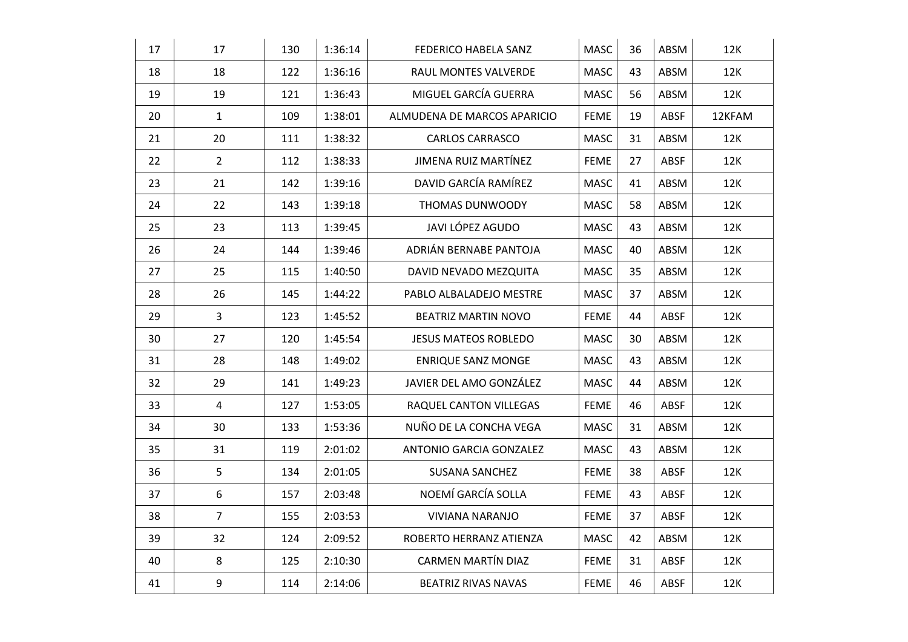| 17 | 17               | 130 | 1:36:14 | FEDERICO HABELA SANZ        | <b>MASC</b> | 36 | ABSM | 12K    |
|----|------------------|-----|---------|-----------------------------|-------------|----|------|--------|
| 18 | 18               | 122 | 1:36:16 | RAUL MONTES VALVERDE        | <b>MASC</b> | 43 | ABSM | 12K    |
| 19 | 19               | 121 | 1:36:43 | MIGUEL GARCÍA GUERRA        | MASC        | 56 | ABSM | 12K    |
| 20 | $\mathbf{1}$     | 109 | 1:38:01 | ALMUDENA DE MARCOS APARICIO | <b>FEME</b> | 19 | ABSF | 12KFAM |
| 21 | 20               | 111 | 1:38:32 | <b>CARLOS CARRASCO</b>      | <b>MASC</b> | 31 | ABSM | 12K    |
| 22 | $\overline{2}$   | 112 | 1:38:33 | JIMENA RUIZ MARTÍNEZ        | <b>FEME</b> | 27 | ABSF | 12K    |
| 23 | 21               | 142 | 1:39:16 | DAVID GARCÍA RAMÍREZ        | MASC        | 41 | ABSM | 12K    |
| 24 | 22               | 143 | 1:39:18 | THOMAS DUNWOODY             | <b>MASC</b> | 58 | ABSM | 12K    |
| 25 | 23               | 113 | 1:39:45 | JAVI LÓPEZ AGUDO            | MASC        | 43 | ABSM | 12K    |
| 26 | 24               | 144 | 1:39:46 | ADRIÁN BERNABE PANTOJA      | MASC        | 40 | ABSM | 12K    |
| 27 | 25               | 115 | 1:40:50 | DAVID NEVADO MEZQUITA       | MASC        | 35 | ABSM | 12K    |
| 28 | 26               | 145 | 1:44:22 | PABLO ALBALADEJO MESTRE     | MASC        | 37 | ABSM | 12K    |
| 29 | 3                | 123 | 1:45:52 | <b>BEATRIZ MARTIN NOVO</b>  | <b>FEME</b> | 44 | ABSF | 12K    |
| 30 | 27               | 120 | 1:45:54 | <b>JESUS MATEOS ROBLEDO</b> | <b>MASC</b> | 30 | ABSM | 12K    |
| 31 | 28               | 148 | 1:49:02 | <b>ENRIQUE SANZ MONGE</b>   | MASC        | 43 | ABSM | 12K    |
| 32 | 29               | 141 | 1:49:23 | JAVIER DEL AMO GONZÁLEZ     | <b>MASC</b> | 44 | ABSM | 12K    |
| 33 | $\overline{4}$   | 127 | 1:53:05 | RAQUEL CANTON VILLEGAS      | <b>FEME</b> | 46 | ABSF | 12K    |
| 34 | 30               | 133 | 1:53:36 | NUÑO DE LA CONCHA VEGA      | <b>MASC</b> | 31 | ABSM | 12K    |
| 35 | 31               | 119 | 2:01:02 | ANTONIO GARCIA GONZALEZ     | MASC        | 43 | ABSM | 12K    |
| 36 | 5                | 134 | 2:01:05 | <b>SUSANA SANCHEZ</b>       | <b>FEME</b> | 38 | ABSF | 12K    |
| 37 | 6                | 157 | 2:03:48 | NOEMÍ GARCÍA SOLLA          | <b>FEME</b> | 43 | ABSF | 12K    |
| 38 | $\overline{7}$   | 155 | 2:03:53 | <b>VIVIANA NARANJO</b>      | <b>FEME</b> | 37 | ABSF | 12K    |
| 39 | 32               | 124 | 2:09:52 | ROBERTO HERRANZ ATIENZA     | <b>MASC</b> | 42 | ABSM | 12K    |
| 40 | $\,8\,$          | 125 | 2:10:30 | CARMEN MARTÍN DIAZ          | <b>FEME</b> | 31 | ABSF | 12K    |
| 41 | $\boldsymbol{9}$ | 114 | 2:14:06 | <b>BEATRIZ RIVAS NAVAS</b>  | <b>FEME</b> | 46 | ABSF | 12K    |